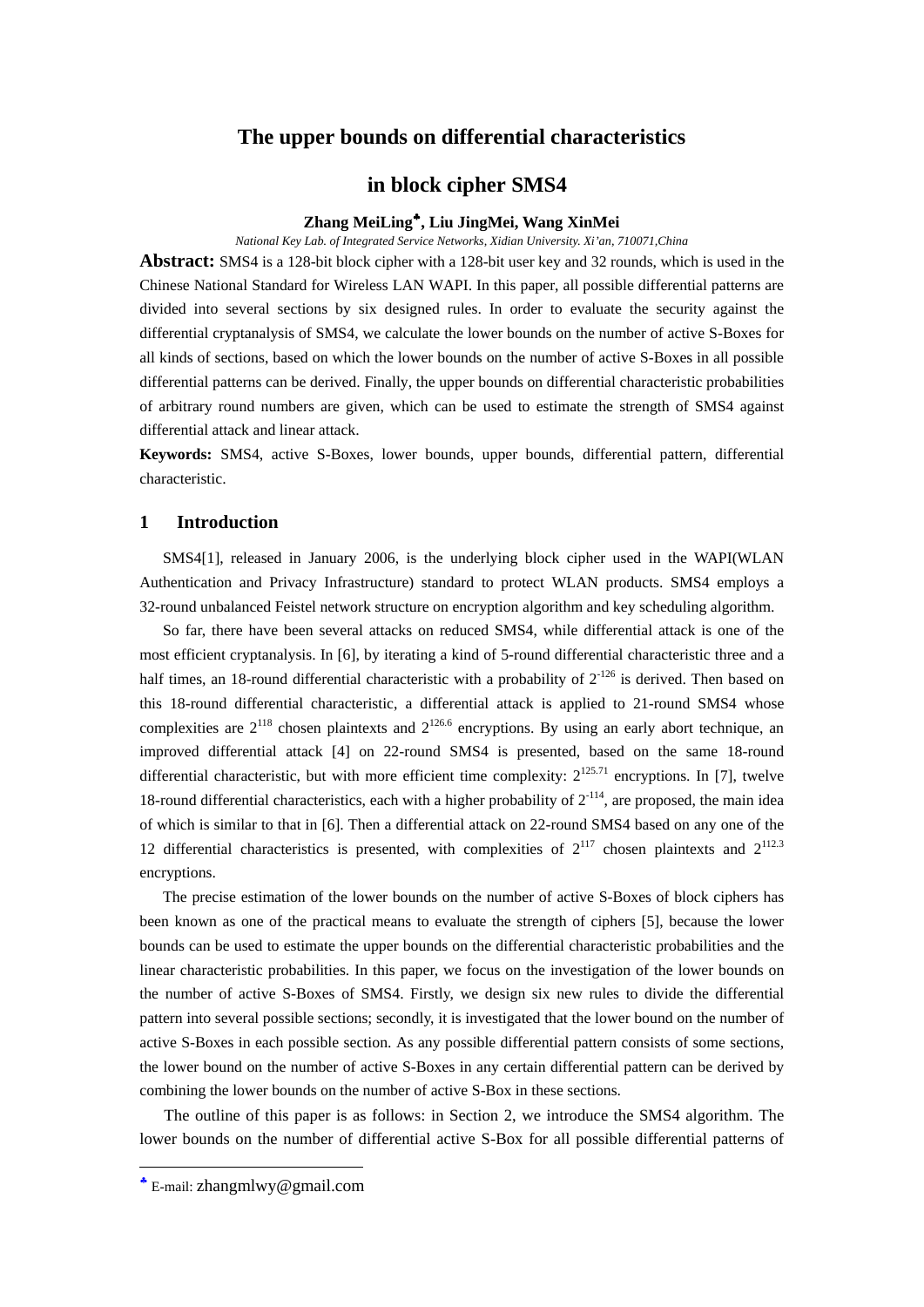# **The upper bounds on differential characteristics**

# **in block cipher SMS4**

### **Zhang MeiLing**♣**, Liu JingMei, Wang XinMei**

*National Key Lab. of Integrated Service Networks, Xidian University. Xi'an, 710071,China*

**Abstract:** SMS4 is a 128-bit block cipher with a 128-bit user key and 32 rounds, which is used in the Chinese National Standard for Wireless LAN WAPI. In this paper, all possible differential patterns are divided into several sections by six designed rules. In order to evaluate the security against the differential cryptanalysis of SMS4, we calculate the lower bounds on the number of active S-Boxes for all kinds of sections, based on which the lower bounds on the number of active S-Boxes in all possible differential patterns can be derived. Finally, the upper bounds on differential characteristic probabilities of arbitrary round numbers are given, which can be used to estimate the strength of SMS4 against differential attack and linear attack.

**Keywords:** SMS4, active S-Boxes, lower bounds, upper bounds, differential pattern, differential characteristic.

## **1 Introduction**

SMS4[1], released in January 2006, is the underlying block cipher used in the WAPI(WLAN Authentication and Privacy Infrastructure) standard to protect WLAN products. SMS4 employs a 32-round unbalanced Feistel network structure on encryption algorithm and key scheduling algorithm.

So far, there have been several attacks on reduced SMS4, while differential attack is one of the most efficient cryptanalysis. In [6], by iterating a kind of 5-round differential characteristic three and a half times, an 18-round differential characteristic with a probability of  $2^{126}$  is derived. Then based on this 18-round differential characteristic, a differential attack is applied to 21-round SMS4 whose complexities are  $2^{118}$  chosen plaintexts and  $2^{126.6}$  encryptions. By using an early abort technique, an improved differential attack [4] on 22-round SMS4 is presented, based on the same 18-round differential characteristic, but with more efficient time complexity:  $2^{125.71}$  encryptions. In [7], twelve 18-round differential characteristics, each with a higher probability of  $2^{-114}$ , are proposed, the main idea of which is similar to that in [6]. Then a differential attack on 22-round SMS4 based on any one of the 12 differential characteristics is presented, with complexities of  $2^{117}$  chosen plaintexts and  $2^{112.3}$ encryptions.

The precise estimation of the lower bounds on the number of active S-Boxes of block ciphers has been known as one of the practical means to evaluate the strength of ciphers [5], because the lower bounds can be used to estimate the upper bounds on the differential characteristic probabilities and the linear characteristic probabilities. In this paper, we focus on the investigation of the lower bounds on the number of active S-Boxes of SMS4. Firstly, we design six new rules to divide the differential pattern into several possible sections; secondly, it is investigated that the lower bound on the number of active S-Boxes in each possible section. As any possible differential pattern consists of some sections, the lower bound on the number of active S-Boxes in any certain differential pattern can be derived by combining the lower bounds on the number of active S-Box in these sections.

The outline of this paper is as follows: in Section 2, we introduce the SMS4 algorithm. The lower bounds on the number of differential active S-Box for all possible differential patterns of

<u>.</u>

<sup>♣</sup> E-mail: zhangmlwy@gmail.com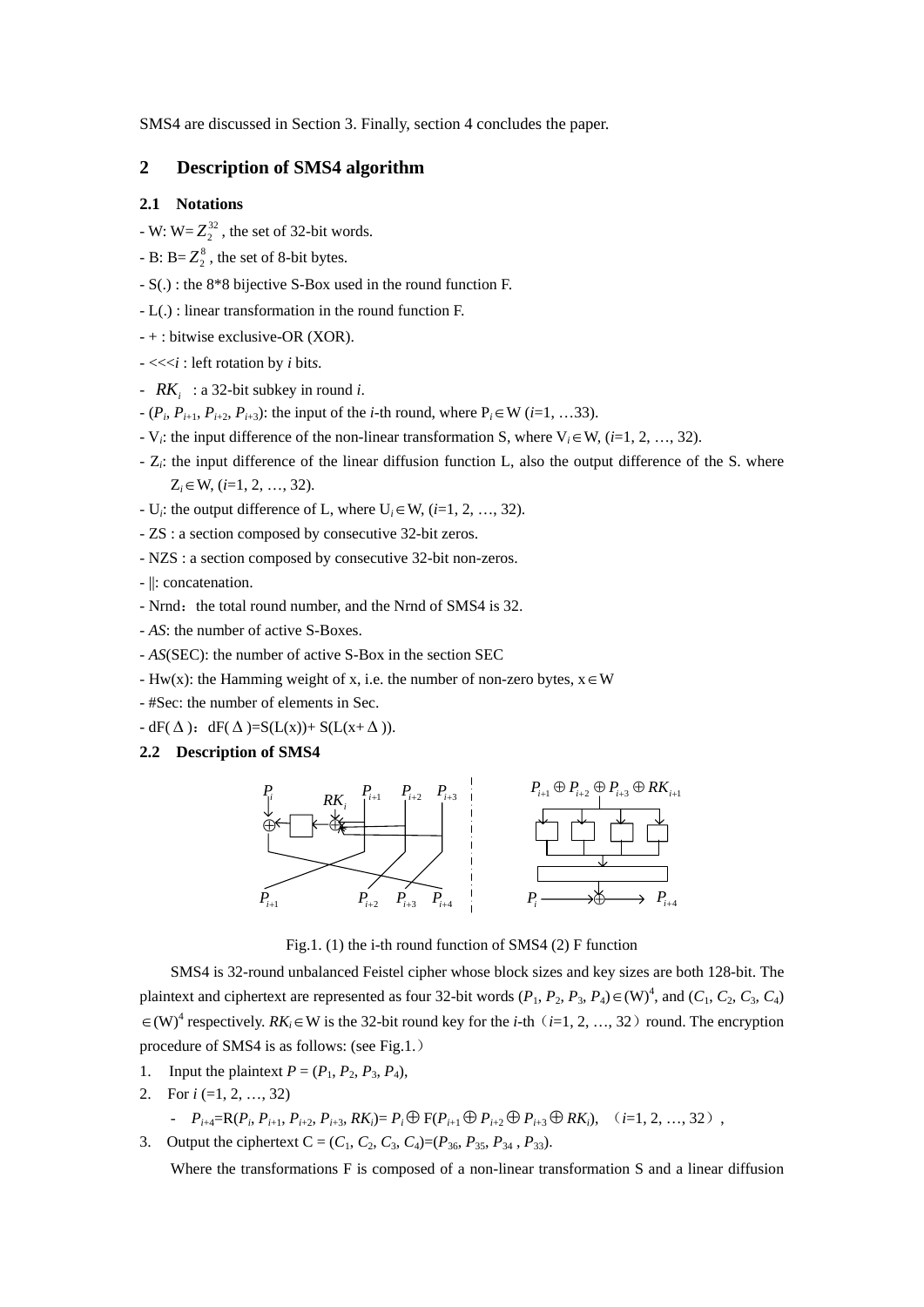SMS4 are discussed in Section 3. Finally, section 4 concludes the paper.

### **2 Description of SMS4 algorithm**

#### **2.1 Notations**

- $-W: W = Z_2^{32}$ , the set of 32-bit words.
- B:  $B = Z_2^8$ , the set of 8-bit bytes.
- S(.) : the 8\*8 bijective S-Box used in the round function F.
- L(.) : linear transformation in the round function F.
- + : bitwise exclusive-OR (XOR).
- <<<*i* : left rotation by *i* bit*s*.
- *RKi* : a 32-bit subkey in round *i*.
- $-(P_i, P_{i+1}, P_{i+2}, P_{i+3})$ : the input of the *i*-th round, where P<sub>*i*</sub>∈W (*i*=1, …33).
- V*i*: the input difference of the non-linear transformation S, where V*i*∈W, (*i*=1, 2, …, 32).
- Z*i*: the input difference of the linear diffusion function L, also the output difference of the S. where Z*i*∈W, (*i*=1, 2, …, 32).
- U<sub>i</sub>: the output difference of L, where  $U_i \in W$ ,  $(i=1, 2, ..., 32)$ .
- ZS : a section composed by consecutive 32-bit zeros.
- NZS : a section composed by consecutive 32-bit non-zeros.
- ||: concatenation.
- Nrnd: the total round number, and the Nrnd of SMS4 is 32.
- *AS*: the number of active S-Boxes.
- *AS*(SEC): the number of active S-Box in the section SEC
- Hw(x): the Hamming weight of x, i.e. the number of non-zero bytes,  $x \in W$
- #Sec: the number of elements in Sec.
- $-dF(\Delta)$ :  $dF(\Delta)=S(L(x))+S(L(x+\Delta))$ .

### **2.2 Description of SMS4**



Fig.1. (1) the i-th round function of SMS4 (2) F function

SMS4 is 32-round unbalanced Feistel cipher whose block sizes and key sizes are both 128-bit. The plaintext and ciphertext are represented as four 32-bit words  $(P_1, P_2, P_3, P_4) \in (W)^4$ , and  $(C_1, C_2, C_3, C_4)$ ∈(W)<sup>4</sup> respectively. RK<sub>i</sub>∈W is the 32-bit round key for the *i*-th (*i*=1, 2, …, 32) round. The encryption procedure of SMS4 is as follows: (see Fig.1.)

- 1. Input the plaintext  $P = (P_1, P_2, P_3, P_4)$ ,
- 2. For *i* (=1, 2, …, 32)

- 
$$
P_{i+4} = R(P_i, P_{i+1}, P_{i+2}, P_{i+3}, RK_i) = P_i \oplus F(P_{i+1} \oplus P_{i+2} \oplus P_{i+3} \oplus RK_i), \quad (i=1, 2, ..., 32)
$$
,

3. Output the ciphertext  $C = (C_1, C_2, C_3, C_4) = (P_{36}, P_{35}, P_{34}, P_{33})$ .

Where the transformations F is composed of a non-linear transformation S and a linear diffusion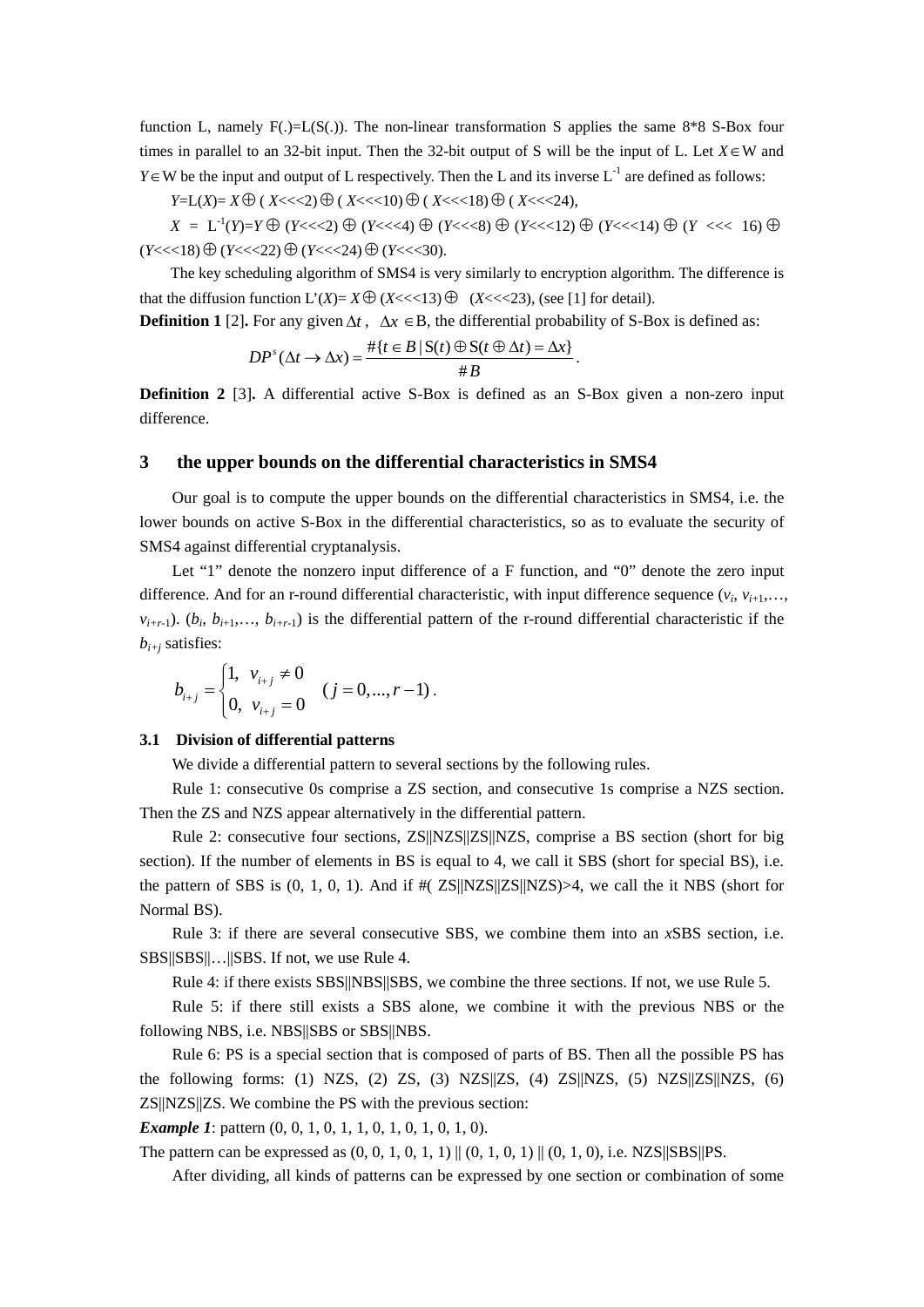function L, namely  $F(.)=L(S(.))$ . The non-linear transformation S applies the same 8\*8 S-Box four times in parallel to an 32-bit input. Then the 32-bit output of S will be the input of L. Let  $X \in W$  and *Y*∈W be the input and output of L respectively. Then the L and its inverse  $L^{-1}$  are defined as follows:

*Y*=L(*X*)= *X* ⊕ (*X*<<<2) ⊕ (*X*<<<10) ⊕ (*X*<<<18) ⊕ (*X*<<<24),

*X* = L<sup>-1</sup>(*Y*)=*Y* ⊕ (*Y*<<<2) ⊕ (*Y*<<<4) ⊕ (*Y*<<<8) ⊕ (*Y*<<<12) ⊕ (*Y* <<<< 16) ⊕  $(Y<<18) ⊕ (Y<<22) ⊕ (Y<<24) ⊕ (Y<<30).$ 

The key scheduling algorithm of SMS4 is very similarly to encryption algorithm. The difference is that the diffusion function  $L'(X) = X \oplus (X \leq \leq 13) \oplus (X \leq \leq 23)$ , (see [1] for detail).

**Definition 1 [2].** For any given  $\Delta t$ ,  $\Delta x \in B$ , the differential probability of S-Box is defined as:

$$
DP^{s}(\Delta t \to \Delta x) = \frac{\#\{t \in B \mid S(t) \oplus S(t \oplus \Delta t) = \Delta x\}}{\#B}.
$$

**Definition 2** [3]**.** A differential active S-Box is defined as an S-Box given a non-zero input difference.

### **3 the upper bounds on the differential characteristics in SMS4**

Our goal is to compute the upper bounds on the differential characteristics in SMS4, i.e. the lower bounds on active S-Box in the differential characteristics, so as to evaluate the security of SMS4 against differential cryptanalysis.

Let "1" denote the nonzero input difference of a F function, and "0" denote the zero input difference. And for an r-round differential characteristic, with input difference sequence  $(v_i, v_{i+1}, \ldots, v_{i+1})$  $v_{i+r-1}$ ). ( $b_i$ ,  $b_{i+1}$ ,...,  $b_{i+r-1}$ ) is the differential pattern of the r-round differential characteristic if the *bi+j* satisfies:

$$
b_{i+j} = \begin{cases} 1, & v_{i+j} \neq 0 \\ 0, & v_{i+j} = 0 \end{cases} \quad (j = 0, \dots, r-1) \, .
$$

#### **3.1 Division of differential patterns**

We divide a differential pattern to several sections by the following rules.

Rule 1: consecutive 0s comprise a ZS section, and consecutive 1s comprise a NZS section. Then the ZS and NZS appear alternatively in the differential pattern.

Rule 2: consecutive four sections, ZS||NZS||ZS||NZS, comprise a BS section (short for big section). If the number of elements in BS is equal to 4, we call it SBS (short for special BS), i.e. the pattern of SBS is  $(0, 1, 0, 1)$ . And if  $\#(ZS||NZS||NZS) > 4$ , we call the it NBS (short for Normal BS).

Rule 3: if there are several consecutive SBS, we combine them into an *x*SBS section, i.e. SBS||SBS||…||SBS. If not, we use Rule 4.

Rule 4: if there exists SBS||NBS||SBS, we combine the three sections. If not, we use Rule 5.

Rule 5: if there still exists a SBS alone, we combine it with the previous NBS or the following NBS, i.e. NBS||SBS or SBS||NBS.

Rule 6: PS is a special section that is composed of parts of BS. Then all the possible PS has the following forms: (1) NZS, (2) ZS, (3) NZS||ZS, (4) ZS||NZS, (5) NZS||ZS||NZS, (6) ZS||NZS||ZS. We combine the PS with the previous section:

*Example 1*: pattern  $(0, 0, 1, 0, 1, 1, 0, 1, 0, 1, 0, 1, 0)$ .

The pattern can be expressed as  $(0, 0, 1, 0, 1, 1) || (0, 1, 0, 1) || (0, 1, 0),$  i.e. NZS||SBS||PS.

After dividing, all kinds of patterns can be expressed by one section or combination of some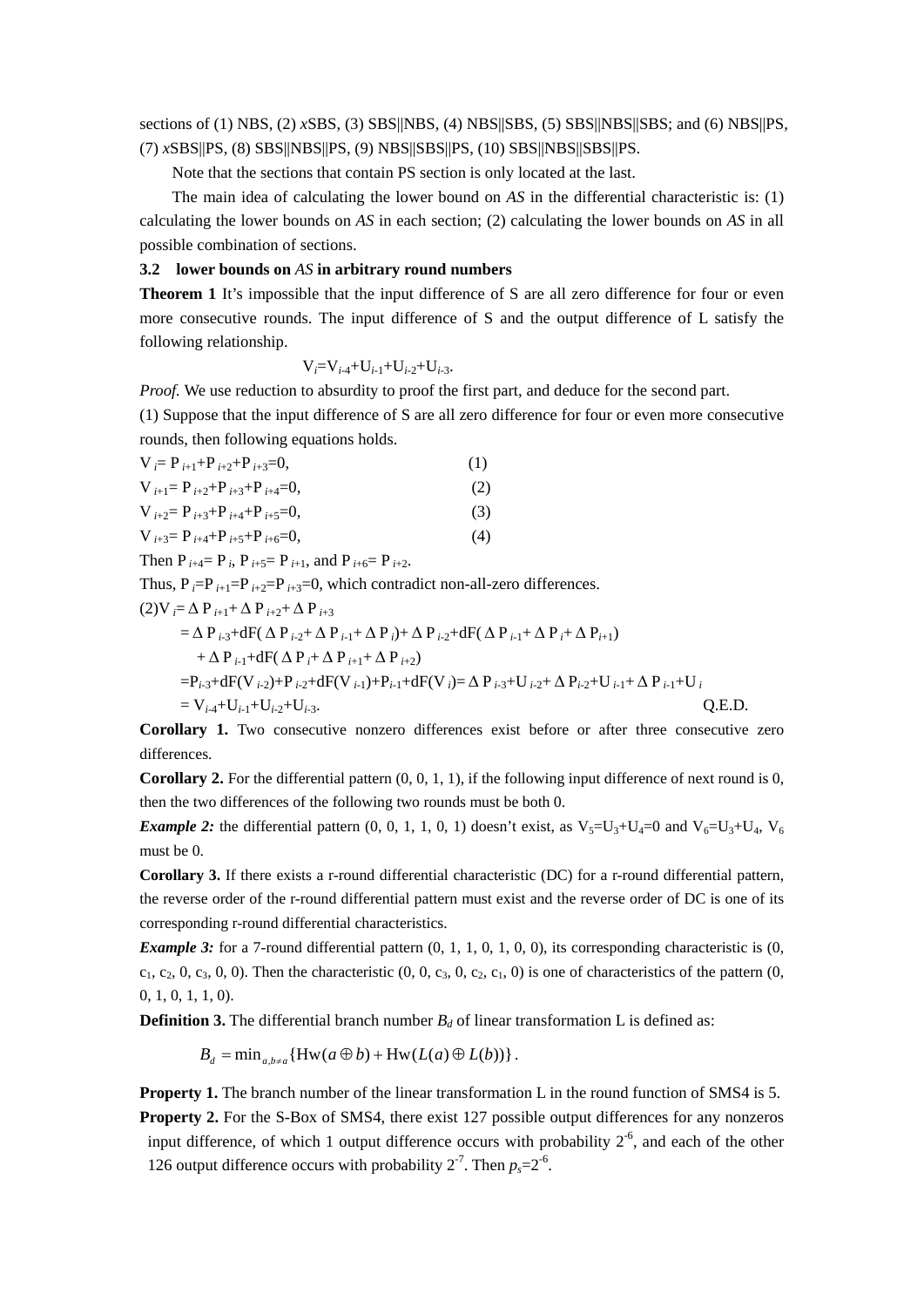sections of (1) NBS, (2) *x*SBS, (3) SBS||NBS, (4) NBS||SBS, (5) SBS||NBS||SBS; and (6) NBS||PS, (7) *x*SBS||PS, (8) SBS||NBS||PS, (9) NBS||SBS||PS, (10) SBS||NBS||SBS||PS.

Note that the sections that contain PS section is only located at the last.

The main idea of calculating the lower bound on *AS* in the differential characteristic is: (1) calculating the lower bounds on *AS* in each section; (2) calculating the lower bounds on *AS* in all possible combination of sections.

#### **3.2 lower bounds on** *AS* **in arbitrary round numbers**

**Theorem 1** It's impossible that the input difference of S are all zero difference for four or even more consecutive rounds. The input difference of S and the output difference of L satisfy the following relationship.

$$
V_i = V_{i-4} + U_{i-1} + U_{i-2} + U_{i-3}.
$$

*Proof.* We use reduction to absurdity to proof the first part, and deduce for the second part. (1) Suppose that the input difference of S are all zero difference for four or even more consecutive rounds, then following equations holds.

$$
V_{i} = P_{i+1} + P_{i+2} + P_{i+3} = 0,
$$
\n(1)  
\n
$$
V_{i+1} = P_{i+2} + P_{i+3} + P_{i+4} = 0,
$$
\n(2)  
\n
$$
V_{i+2} = P_{i+3} + P_{i+4} + P_{i+5} = 0,
$$
\n(3)  
\n
$$
V_{i+3} = P_{i+4} + P_{i+5} + P_{i+6} = 0,
$$
\n(4)  
\nThen P<sub>i+4</sub> = P<sub>i</sub>, P<sub>i+5</sub> = P<sub>i+1</sub>, and P<sub>i+6</sub> = P<sub>i+2</sub>.

Thus,  $P_i = P_{i+1} = P_{i+2} = P_{i+3} = 0$ , which contradict non-all-zero differences.

$$
(2) V_{i} = \Delta P_{i+1} + \Delta P_{i+2} + \Delta P_{i+3}
$$
  
\n
$$
= \Delta P_{i\cdot 3} + dF(\Delta P_{i\cdot 2} + \Delta P_{i\cdot 1} + \Delta P_{i}) + \Delta P_{i\cdot 2} + dF(\Delta P_{i\cdot 1} + \Delta P_{i} + \Delta P_{i+1})
$$
  
\n
$$
+ \Delta P_{i\cdot 1} + dF(\Delta P_{i} + \Delta P_{i+1} + \Delta P_{i+2})
$$
  
\n
$$
= P_{i\cdot 3} + dF(V_{i\cdot 2}) + P_{i\cdot 2} + dF(V_{i\cdot 1}) + P_{i\cdot 1} + dF(V_{i}) = \Delta P_{i\cdot 3} + U_{i\cdot 2} + \Delta P_{i\cdot 2} + U_{i\cdot 1} + \Delta P_{i\cdot 1} + U_{i}
$$
  
\n
$$
= V_{i\cdot 4} + U_{i\cdot 1} + U_{i\cdot 2} + U_{i\cdot 3}.
$$
 Q.E.D.

**Corollary 1.** Two consecutive nonzero differences exist before or after three consecutive zero differences.

**Corollary 2.** For the differential pattern  $(0, 0, 1, 1)$ , if the following input difference of next round is  $0$ , then the two differences of the following two rounds must be both 0.

*Example 2:* the differential pattern  $(0, 0, 1, 1, 0, 1)$  doesn't exist, as  $V_5=U_3+U_4=0$  and  $V_6=U_3+U_4$ ,  $V_6$ must be 0.

**Corollary 3.** If there exists a r-round differential characteristic (DC) for a r-round differential pattern, the reverse order of the r-round differential pattern must exist and the reverse order of DC is one of its corresponding r-round differential characteristics.

*Example 3:* for a 7-round differential pattern  $(0, 1, 1, 0, 1, 0, 0)$ , its corresponding characteristic is  $(0, 1, 1, 0, 1, 0, 0)$  $c_1, c_2, 0, c_3, 0, 0$ . Then the characteristic  $(0, 0, c_3, 0, c_2, c_1, 0)$  is one of characteristics of the pattern  $(0, 0, c_3, 0, c_4, 0)$ 0, 1, 0, 1, 1, 0).

**Definition 3.** The differential branch number  $B_d$  of linear transformation L is defined as:

 $B_d = \min_{a,b \neq a} \{Hw(a \oplus b) + Hw(L(a) \oplus L(b))\}.$ 

**Property 1.** The branch number of the linear transformation L in the round function of SMS4 is 5. **Property 2.** For the S-Box of SMS4, there exist 127 possible output differences for any nonzeros input difference, of which 1 output difference occurs with probability  $2<sup>6</sup>$ , and each of the other 126 output difference occurs with probability  $2^{-7}$ . Then  $p_0 = 2^{-6}$ .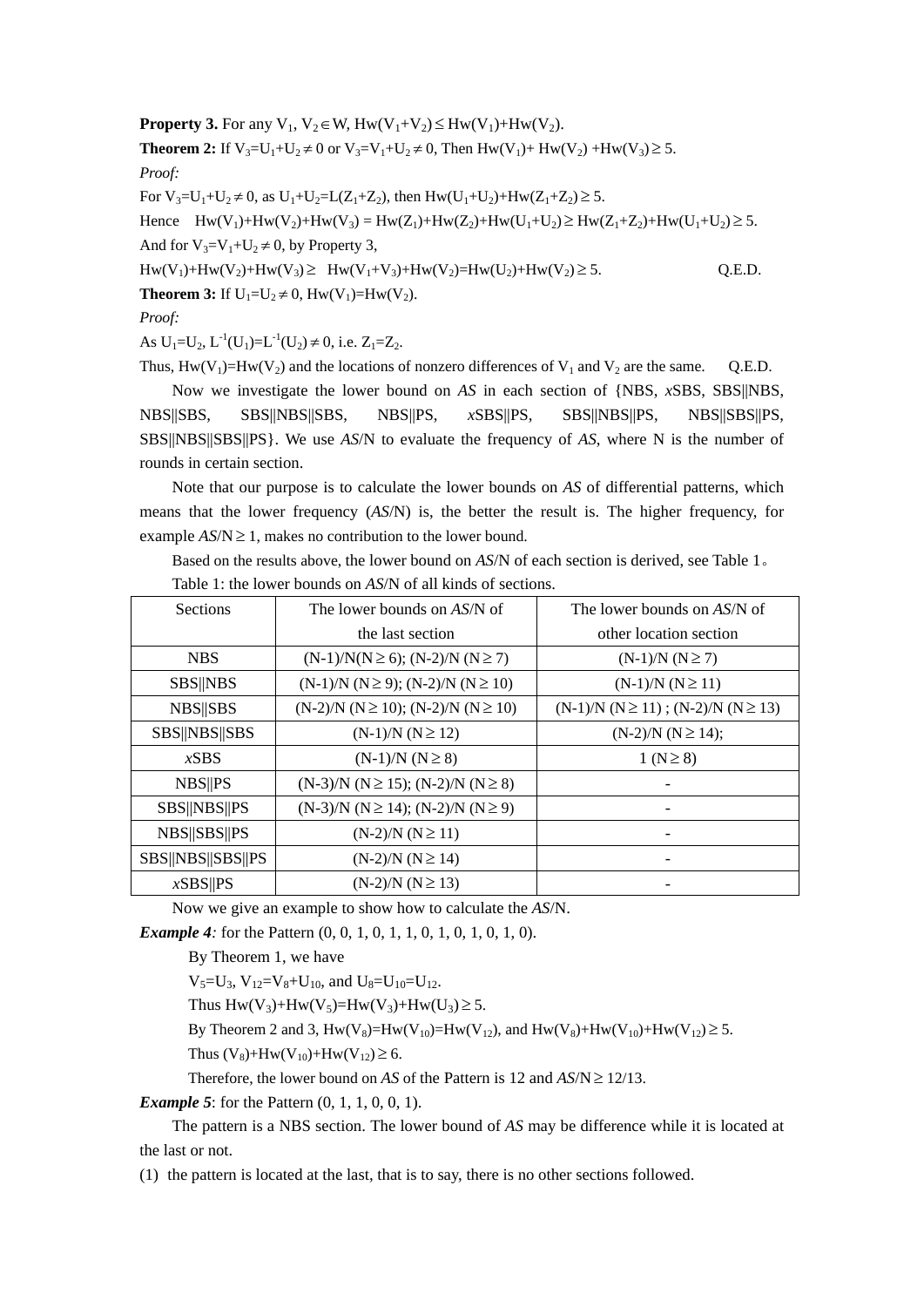**Property 3.** For any  $V_1$ ,  $V_2 \in W$ ,  $H_W(V_1+V_2) \leq H_W(V_1)+H_W(V_2)$ . **Theorem 2:** If  $V_3=U_1+U_2\neq 0$  or  $V_3=V_1+U_2\neq 0$ , Then  $Hw(V_1)+Hw(V_2)+Hw(V_3)\geq 5$ . *Proof:*  For  $V_3=U_1+U_2\neq 0$ , as  $U_1+U_2=L(Z_1+Z_2)$ , then  $Hw(U_1+U_2)+Hw(Z_1+Z_2)\geq 5$ . Hence  $Hw(V_1)+Hw(V_2)+Hw(V_3) = Hw(Z_1)+Hw(Z_2)+Hw(U_1+U_2) \geq Hw(Z_1+Z_2)+Hw(U_1+U_2) \geq 5.$ And for  $V_3=V_1+U_2\neq 0$ , by Property 3,

 $Hw(V_1) + Hw(V_2) + Hw(V_3) \geq Hw(V_1 + V_3) + Hw(V_2) = Hw(U_2) + Hw(V_2) \geq 5.$  Q.E.D.

**Theorem 3:** If  $U_1 = U_2 \neq 0$ ,  $Hw(V_1) = Hw(V_2)$ .

*Proof:* 

As  $U_1=U_2$ ,  $L^{-1}(U_1)=L^{-1}(U_2) \neq 0$ , i.e.  $Z_1=Z_2$ .

Thus,  $Hw(V_1)=Hw(V_2)$  and the locations of nonzero differences of  $V_1$  and  $V_2$  are the same. Q.E.D.

Now we investigate the lower bound on *AS* in each section of {NBS, *x*SBS, SBS||NBS, NBS||SBS, SBS||NBS||SBS, NBS||PS, *x*SBS||PS, SBS||NBS||PS, NBS||SBS||PS, SBS||NBS||SBS||PS}. We use *AS*/N to evaluate the frequency of *AS*, where N is the number of rounds in certain section.

Note that our purpose is to calculate the lower bounds on *AS* of differential patterns, which means that the lower frequency (*AS*/N) is, the better the result is. The higher frequency, for example  $AS/N \geq 1$ , makes no contribution to the lower bound.

Based on the results above, the lower bound on *AS*/N of each section is derived, see Table 1。

| Sections          | The lower bounds on AS/N of                     | The lower bounds on AS/N of                 |
|-------------------|-------------------------------------------------|---------------------------------------------|
|                   | the last section                                | other location section                      |
| <b>NBS</b>        | $(N-1)/N(N \ge 6)$ ; $(N-2)/N (N \ge 7)$        | $(N-1)/N (N \ge 7)$                         |
| <b>SBS  NBS</b>   | $(N-1)/N$ $(N \ge 9)$ ; $(N-2)/N$ $(N \ge 10)$  | $(N-1)/N (N \ge 11)$                        |
| <b>NBS</b>   SBS  | $(N-2)/N$ $(N \ge 10)$ ; $(N-2)/N$ $(N \ge 10)$ | $(N-1)/N (N \ge 11)$ ; $(N-2)/N (N \ge 13)$ |
| SBS  NBS  SBS     | $(N-1)/N (N \ge 12)$                            | $(N-2)/N (N \ge 14);$                       |
| xSBS              | $(N-1)/N (N \ge 8)$                             | $1 (N \ge 8)$                               |
| <b>NBS  PS</b>    | $(N-3)/N$ $(N \ge 15)$ ; $(N-2)/N$ $(N \ge 8)$  |                                             |
| SBS  NBS  PS      | $(N-3)/N$ $(N \ge 14)$ ; $(N-2)/N$ $(N \ge 9)$  |                                             |
| NBS  SBS  PS      | $(N-2)/N (N \ge 11)$                            |                                             |
| SBS  NBS  SBS  PS | $(N-2)/N (N \ge 14)$                            |                                             |
| xSBS  PS          | $(N-2)/N (N \ge 13)$                            |                                             |

Table 1: the lower bounds on *AS*/N of all kinds of sections.

Now we give an example to show how to calculate the *AS*/N.

*Example 4:* for the Pattern  $(0, 0, 1, 0, 1, 1, 0, 1, 0, 1, 0, 1, 0)$ .

By Theorem 1, we have

 $V_5=U_3$ ,  $V_{12}=V_8+U_{10}$ , and  $U_8=U_{10}=U_{12}$ .

Thus  $Hw(V_3) + Hw(V_5) = Hw(V_3) + Hw(U_3) \ge 5$ .

By Theorem 2 and 3,  $Hw(V_8) = Hw(V_{10}) = Hw(V_{12})$ , and  $Hw(V_8) + Hw(V_{10}) + Hw(V_{12}) \ge 5$ .

Thus  $(V_8)$ +Hw $(V_{10})$ +Hw $(V_{12})$  ≥ 6.

Therefore, the lower bound on *AS* of the Pattern is 12 and  $AS/N \ge 12/13$ .

*Example 5*: for the Pattern  $(0, 1, 1, 0, 0, 1)$ .

 The pattern is a NBS section. The lower bound of *AS* may be difference while it is located at the last or not.

(1) the pattern is located at the last, that is to say, there is no other sections followed.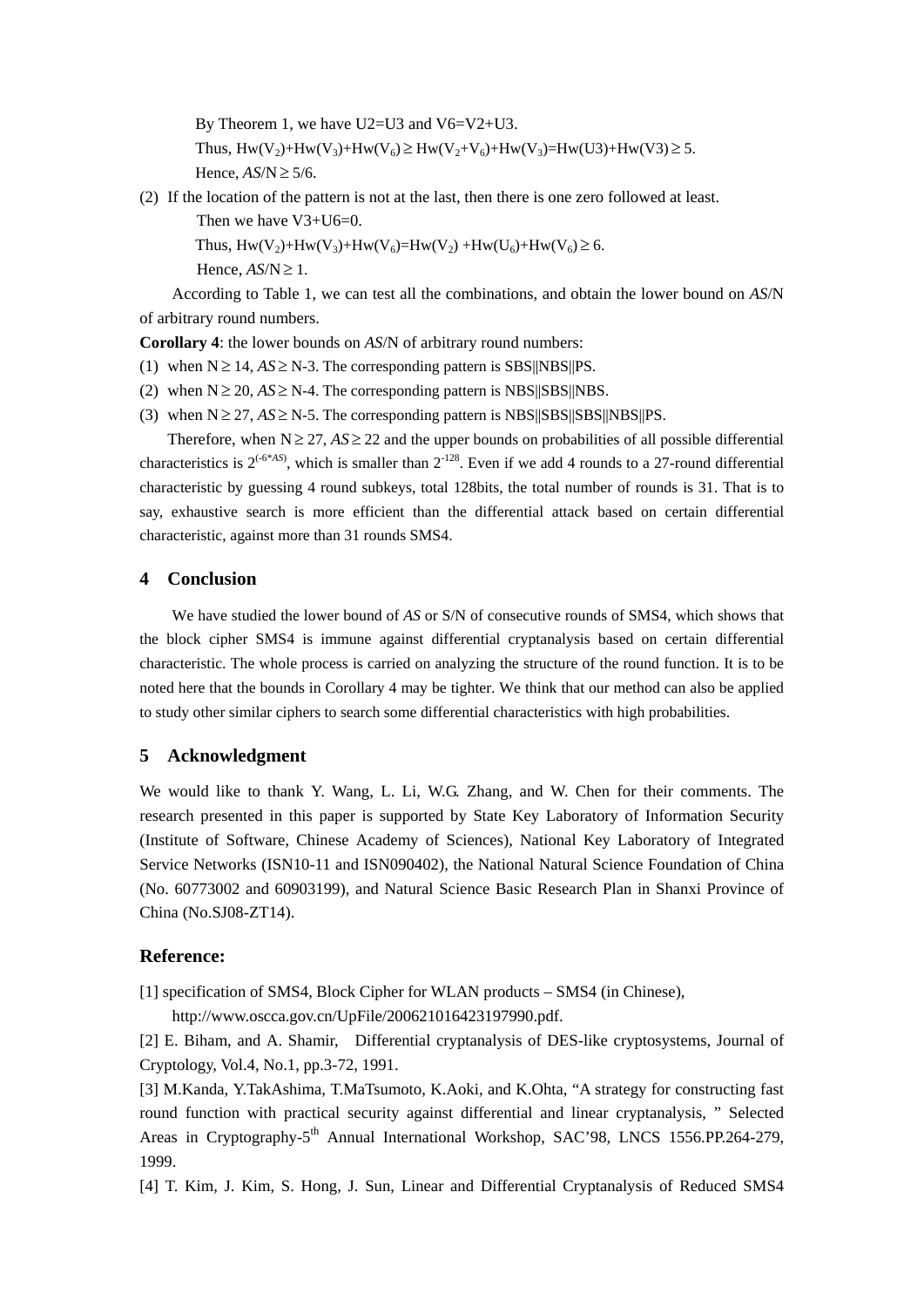By Theorem 1, we have U2=U3 and V6=V2+U3. Thus,  $Hw(V_2)+Hw(V_3)+Hw(V_6) \geq Hw(V_2+V_6)+Hw(V_3)=Hw(U3)+Hw(V3) \geq 5.$ Hence,  $AS/N \geq 5/6$ .

(2) If the location of the pattern is not at the last, then there is one zero followed at least.

```
Then we have V3+U6=0.
```
Thus,  $Hw(V_2)+Hw(V_3)+Hw(V_6)=Hw(V_2)+Hw(U_6)+Hw(V_6) \ge 6.$ 

Hence,  $AS/N \geq 1$ .

According to Table 1, we can test all the combinations, and obtain the lower bound on *AS*/N of arbitrary round numbers.

**Corollary 4**: the lower bounds on *AS*/N of arbitrary round numbers:

- (1) when  $N \ge 14$ ,  $AS \ge N-3$ . The corresponding pattern is SBS||NBS||PS.
- (2) when  $N \ge 20$ ,  $AS \ge N-4$ . The corresponding pattern is NBS||SBS||NBS.
- (3) when  $N \ge 27$ ,  $AS \ge N$ -5. The corresponding pattern is NBS||SBS||SBS||NBS||PS.

Therefore, when  $N \geq 27$ ,  $AS \geq 22$  and the upper bounds on probabilities of all possible differential characteristics is  $2^{(-6^{*}AS)}$ , which is smaller than  $2^{-128}$ . Even if we add 4 rounds to a 27-round differential characteristic by guessing 4 round subkeys, total 128bits, the total number of rounds is 31. That is to say, exhaustive search is more efficient than the differential attack based on certain differential characteristic, against more than 31 rounds SMS4.

## **4 Conclusion**

We have studied the lower bound of *AS* or S/N of consecutive rounds of SMS4, which shows that the block cipher SMS4 is immune against differential cryptanalysis based on certain differential characteristic. The whole process is carried on analyzing the structure of the round function. It is to be noted here that the bounds in Corollary 4 may be tighter. We think that our method can also be applied to study other similar ciphers to search some differential characteristics with high probabilities.

## **5 Acknowledgment**

We would like to thank Y. Wang, L. Li, W.G. Zhang, and W. Chen for their comments. The research presented in this paper is supported by State Key Laboratory of Information Security (Institute of Software, Chinese Academy of Sciences), National Key Laboratory of Integrated Service Networks (ISN10-11 and ISN090402), the National Natural Science Foundation of China (No. 60773002 and 60903199), and Natural Science Basic Research Plan in Shanxi Province of China (No.SJ08-ZT14).

## **Reference:**

[1] specification of SMS4, Block Cipher for WLAN products – SMS4 (in Chinese),

http://www.oscca.gov.cn/UpFile/200621016423197990.pdf.

[2] E. Biham, and A. Shamir, Differential cryptanalysis of DES-like cryptosystems, Journal of Cryptology, Vol.4, No.1, pp.3-72, 1991.

[3] M.Kanda, Y.TakAshima, T.MaTsumoto, K.Aoki, and K.Ohta, "A strategy for constructing fast round function with practical security against differential and linear cryptanalysis, " Selected Areas in Cryptography-5<sup>th</sup> Annual International Workshop, SAC'98, LNCS 1556.PP.264-279, 1999.

[4] T. Kim, J. Kim, S. Hong, J. Sun, Linear and Differential Cryptanalysis of Reduced SMS4